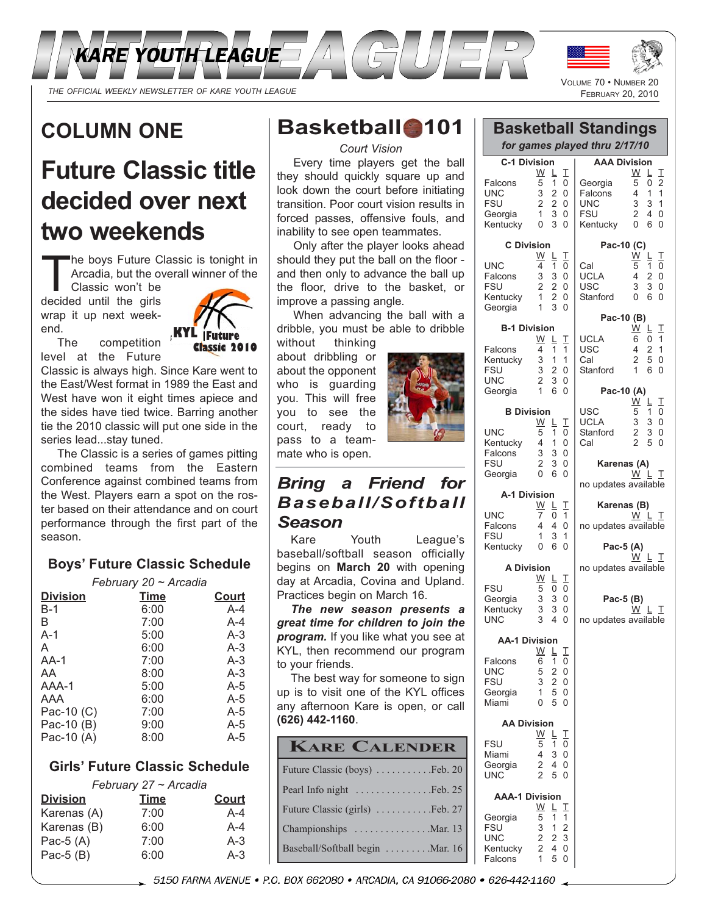

**COLUMN ONE**

# **Future Classic title decided over next two weekends**

The boys Future Classic is tonight in<br>Arcadia, but the overall winner of the<br>Classic won't be Arcadia, but the overall winner of the

Classic won't be decided until the girls wrap it up next weekend.



The competition level at the Future

Classic is always high. Since Kare went to the East/West format in 1989 the East and West have won it eight times apiece and the sides have tied twice. Barring another tie the 2010 classic will put one side in the series lead...stay tuned.

The Classic is a series of games pitting combined teams from the Eastern Conference against combined teams from the West. Players earn a spot on the roster based on their attendance and on court performance through the first part of the season.

# **Boys' Future Classic Schedule**

|                 | February 20 ~ Arcadia |         |
|-----------------|-----------------------|---------|
| <b>Division</b> | Time                  | Court   |
| B-1             | 6:00                  | $A - 4$ |
| в               | 7:00                  | $A - 4$ |
| $A-1$           | 5:00                  | $A-3$   |
| A               | 6:00                  | $A-3$   |
| $AA-1$          | 7:00                  | $A-3$   |
| AA              | 8:00                  | $A-3$   |
| AAA-1           | 5:00                  | $A-5$   |
| <b>AAA</b>      | 6:00                  | $A-5$   |
| Pac-10 (C)      | 7:00                  | A-5     |
| Pac-10 (B)      | 9:00                  | $A-5$   |
| Pac-10 (A)      | 8:00                  | A-5     |

## **Girls' Future Classic Schedule**

| February 27 ~ Arcadia |             |         |  |
|-----------------------|-------------|---------|--|
| <b>Division</b>       | <u>Time</u> | Court   |  |
| Karenas (A)           | 7:00        | $A - 4$ |  |
| Karenas (B)           | 6:00        | $A - 4$ |  |
| Pac- $5(A)$           | 7:00        | $A-3$   |  |
| Pac- $5(B)$           | 6:00        | $A-3$   |  |

# **Basketball@101**

*Court Vision*

Every time players get the ball they should quickly square up and look down the court before initiating transition. Poor court vision results in forced passes, offensive fouls, and inability to see open teammates.

Only after the player looks ahead should they put the ball on the floor and then only to advance the ball up the floor, drive to the basket, or improve a passing angle.

When advancing the ball with a dribble, you must be able to dribble

without thinking about dribbling or about the opponent who is guarding you. This will free you to see the court, ready to pass to a teammate who is open.



# *Bring a Friend for Baseball/Softball Season*

Kare Youth League's baseball/softball season officially begins on **March 20** with opening day at Arcadia, Covina and Upland. Practices begin on March 16.

*The new season presents a great time for children to join the program.* If you like what you see at KYL, then recommend our program to your friends.

The best way for someone to sign up is to visit one of the KYL offices any afternoon Kare is open, or call **(626) 442-1160**.

| <b>KARE CALENDER</b>            |
|---------------------------------|
| Future Classic (boys) Feb. 20   |
|                                 |
| Future Classic (girls) Feb. 27  |
| Championships Mar. 13           |
| Baseball/Softball begin Mar. 16 |

| <b>Basketball Standings</b><br>for games played thru 2/17/10 |                     |    |                |                     |   |   |                |
|--------------------------------------------------------------|---------------------|----|----------------|---------------------|---|---|----------------|
|                                                              | <b>C-1 Division</b> |    |                | <b>AAA Division</b> |   |   |                |
|                                                              | W                   | L  | $\mathbf{I}$   |                     |   |   | I              |
| Falcons                                                      | 5                   |    | 1 <sub>0</sub> | Georgia             | 5 |   | $\mathfrak{p}$ |
| <b>UNC</b>                                                   | 3                   | 20 |                | Falcons             |   |   | 1              |
| <b>FSU</b>                                                   | 2, 2, 0             |    |                | <b>UNC</b>          | 3 | 3 | 1              |
| Georgia                                                      |                     | 3  |                | <b>FSU</b>          |   |   |                |

| Kentucky                                                             | 0                                                      | 3                                       | 0                            | Kentucky                                             | 0                             | 6                                  | 0                     |
|----------------------------------------------------------------------|--------------------------------------------------------|-----------------------------------------|------------------------------|------------------------------------------------------|-------------------------------|------------------------------------|-----------------------|
| <b>C</b> Division                                                    |                                                        |                                         |                              | Pac-10 (C)                                           |                               |                                    |                       |
| UNC<br>Falcons<br><b>FSU</b><br>Kentucky<br>Georgia                  | <u>W</u><br>4<br>3<br>2<br>$\mathbf{1}$<br>1           | ╚<br>1<br>3<br>2<br>2<br>3              | I<br>0<br>0<br>0<br>0<br>0   | Cal<br><b>UCLA</b><br>USC<br>Stanford                | <u>W</u><br>5<br>4<br>3<br>0  | ╚<br>1<br>$\overline{2}$<br>3<br>6 | I<br>0<br>0<br>0<br>0 |
| <b>B-1 Division</b>                                                  |                                                        |                                         |                              | Pac-10 (B)                                           | <u>W</u>                      | Ļ                                  | I                     |
| Falcons<br>Kentucky<br><b>FSU</b><br>UNC                             | <u>W</u><br>4<br>3<br>3<br>$\overline{2}$              | L<br>1<br>1<br>2<br>3                   | Τ<br>1<br>1<br>0<br>0        | UCLA<br><b>USC</b><br>Cal<br>Stanford                | 6<br>4<br>2<br>1              | 0<br>$\overline{2}$<br>5<br>6      | 1<br>1<br>0<br>0      |
| Georgia                                                              | 1                                                      | 6                                       | 0                            | Pac-10 (A)                                           | <u>W</u>                      |                                    |                       |
| <b>B</b> Division<br><b>UNC</b><br>Kentucky<br>Falcons<br><b>FSU</b> | W<br>5<br>4<br>3<br>$\overline{2}$                     | L<br>1<br>1<br>3<br>3                   | Τ<br>0<br>0<br>0<br>0        | USC<br><b>UCLA</b><br>Stanford<br>Cal<br>Karenas (A) | 5<br>3<br>2<br>$\overline{2}$ | L<br>1<br>3<br>3<br>5              | I<br>0<br>0<br>0<br>0 |
| Georgia                                                              | 0                                                      | 6                                       | 0                            |                                                      | W                             | 上                                  | Ι                     |
| A-1 Division                                                         |                                                        |                                         |                              | no updates available                                 |                               |                                    |                       |
| <b>UNC</b><br>Falcons<br><b>FSU</b><br>Kentucky                      | <u>W</u><br>7<br>4<br>1<br>0                           | L<br>0<br>4<br>3<br>6                   | I<br>1<br>0<br>1<br>0        | Karenas (B)<br>no updates available<br>Pac-5 (A)     | <u>W</u>                      | L                                  | I                     |
| <b>A Division</b>                                                    |                                                        |                                         |                              | no updates available                                 | <u>W</u>                      | L.                                 | I                     |
| <b>FSU</b><br>Georgia<br>Kentucky<br>UNC                             | W<br>5<br>3<br>3<br>3                                  | L<br>0<br>3<br>3<br>4                   | I<br>0<br>0<br>0<br>$\Omega$ | Pac-5 (B)<br>no updates available                    | W                             | L.                                 | I                     |
| <b>AA-1 Division</b>                                                 |                                                        |                                         |                              |                                                      |                               |                                    |                       |
| Falcons<br>UNC<br><b>FSU</b><br>Georgia<br>Miami                     | W<br>6<br>5<br>3<br>1<br>0                             | L<br>1<br>2<br>$\overline{2}$<br>5<br>5 | I<br>0<br>0<br>0<br>0<br>0   |                                                      |                               |                                    |                       |
| <b>AA Division</b>                                                   |                                                        |                                         |                              |                                                      |                               |                                    |                       |
| <b>FSU</b><br>Miami<br>Georgia<br>UNC                                | <u>W</u><br>5<br>4<br>$\overline{c}$<br>$\overline{2}$ | Ļ<br>1<br>3<br>4<br>5                   | I<br>0<br>0<br>0<br>0        |                                                      |                               |                                    |                       |
| <b>AAA-1 Division</b>                                                |                                                        |                                         |                              |                                                      |                               |                                    |                       |
| Georgia                                                              | $\underline{\mathsf{W}}$<br>5                          | Ļ<br>1                                  | I<br>1                       |                                                      |                               |                                    |                       |

FSU 3 1 2

Falcons 1 5 0

**Kentucky** 

 $\begin{array}{ccc} 2 & 2 & 3 \\ 2 & 4 & 0 \end{array}$ 

VOLUME 70 • NUMBER 20 FEBRUARY 20, 2010

 $\frac{1}{2}$  1

5150 FARNA AVENUE · P.O. BOX 662080 · ARCADIA, CA 91066-2080 · 626-442-1160